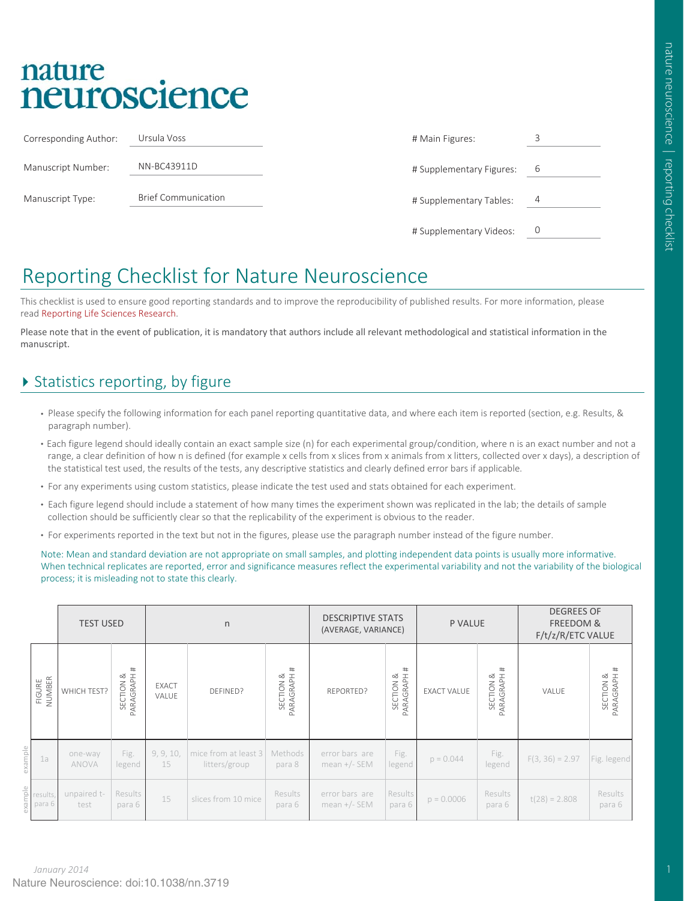# nature neuroscience

| Corresponding Author: | Ursula Voss                | # Main Figures:          | 3 |
|-----------------------|----------------------------|--------------------------|---|
| Manuscript Number:    | NN-BC43911D                | # Supplementary Figures: | 6 |
| Manuscript Type:      | <b>Brief Communication</b> | # Supplementary Tables:  | 4 |
|                       |                            | # Supplementary Videos:  |   |

## Reporting Checklist for Nature Neuroscience

This checklist is used to ensure good reporting standards and to improve the reproducibility of published results. For more information, please read Reporting Life Sciences Research.

Please note that in the event of publication, it is mandatory that authors include all relevant methodological and statistical information in the manuscript.

## ▶ Statistics reporting, by figure

- Please specify the following information for each panel reporting quantitative data, and where each item is reported (section, e.g. Results, & paragraph number).
- Each figure legend should ideally contain an exact sample size (n) for each experimental group/condition, where n is an exact number and not a range, a clear definition of how n is defined (for example x cells from x slices from x animals from x litters, collected over x days), a description of the statistical test used, the results of the tests, any descriptive statistics and clearly defined error bars if applicable.
- For any experiments using custom statistics, please indicate the test used and stats obtained for each experiment.
- Each figure legend should include a statement of how many times the experiment shown was replicated in the lab; the details of sample collection should be sufficiently clear so that the replicability of the experiment is obvious to the reader.
- For experiments reported in the text but not in the figures, please use the paragraph number instead of the figure number.

Note: Mean and standard deviation are not appropriate on small samples, and plotting independent data points is usually more informative. When technical replicates are reported, error and significance measures reflect the experimental variability and not the variability of the biological process; it is misleading not to state this clearly.

|         |                    | <b>TEST USED</b>    |                               |                       | n                                       |                          | <b>DESCRIPTIVE STATS</b><br>(AVERAGE, VARIANCE) |                                          | P VALUE            |                               | <b>DEGREES OF</b><br>FREEDOM &<br>F/t/z/R/ETC VALUE |                          |
|---------|--------------------|---------------------|-------------------------------|-----------------------|-----------------------------------------|--------------------------|-------------------------------------------------|------------------------------------------|--------------------|-------------------------------|-----------------------------------------------------|--------------------------|
|         | FIGURE<br>NUMBER   | WHICH TEST?         | #<br>SECTION &<br>PARAGRAPH # | <b>EXACT</b><br>VALUE | DEFINED?                                | SECTION &<br>PARAGRAPH # | REPORTED?                                       | #<br>SECTION &<br>PARAGRAPH <del>1</del> | <b>EXACT VALUE</b> | #<br>SECTION &<br>PARAGRAPH # | VALUE                                               | SECTION &<br>PARAGRAPH # |
| example | 1a                 | one-way<br>ANOVA    | Fig.<br>legend                | 9, 9, 10,<br>15       | mice from at least $3$<br>litters/group | Methods<br>para 8        | error bars are<br>mean $+/-$ SEM                | Fig.<br>legend                           | $p = 0.044$        | Fig.<br>legend                | $F(3, 36) = 2.97$                                   | Fig. legend              |
| example | results,<br>para 6 | unpaired t-<br>test | Results<br>para 6             | 15                    | slices from 10 mice                     | Results<br>para 6        | error bars are<br>mean $+/-$ SEM                | Results<br>para 6                        | $p = 0.0006$       | Results<br>para 6             | $t(28) = 2.808$                                     | Results<br>para 6        |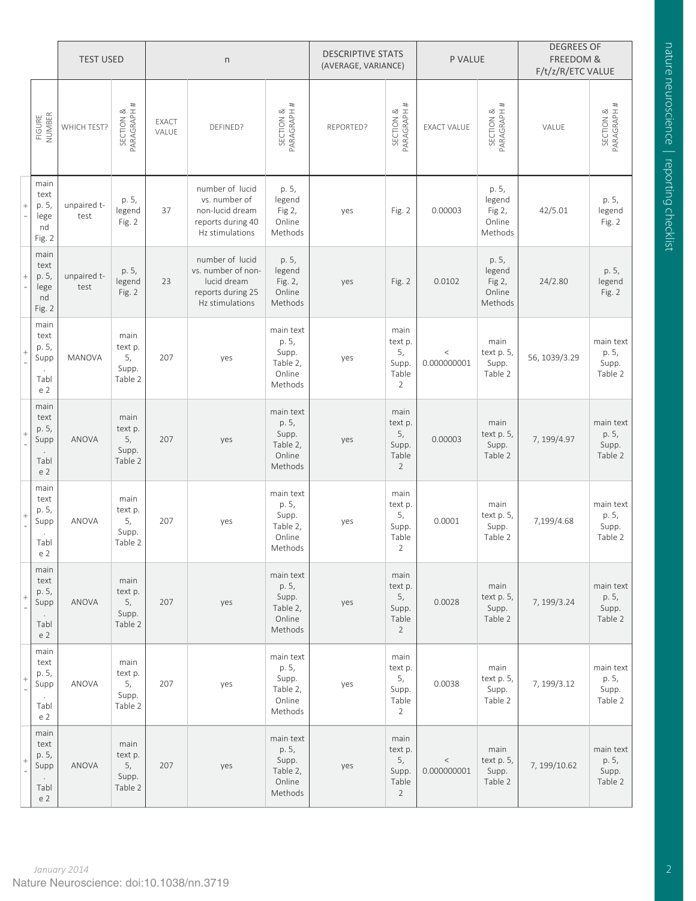|   |                                                         | <b>TEST USED</b>    |                                           | $\sf n$        |                                                                                              |                                                              | <b>DESCRIPTIVE STATS</b><br>(AVERAGE, VARIANCE) |                                                           | P VALUE              |                                                | <b>DEGREES OF</b><br>FREEDOM &<br>F/t/z/R/ETC VALUE |                                        |
|---|---------------------------------------------------------|---------------------|-------------------------------------------|----------------|----------------------------------------------------------------------------------------------|--------------------------------------------------------------|-------------------------------------------------|-----------------------------------------------------------|----------------------|------------------------------------------------|-----------------------------------------------------|----------------------------------------|
|   | NUMBER<br>FIGURE                                        | WHICH TEST?         | SECTION &<br>PARAGRAPH #                  | EXACT<br>VALUE | DEFINED?                                                                                     | PARAGRAPH#<br>SECTION &                                      | REPORTED?                                       | PARAGRAPH #<br>SECTION &                                  | <b>EXACT VALUE</b>   | PARAGRAPH#<br>SECTION &                        | VALUE                                               | SECTION &<br>PARAGRAPH #               |
| ÷ | main<br>text<br>p. 5,<br>lege<br>nd<br>Fig. 2           | unpaired t-<br>test | p. 5,<br>legend<br>Fig. 2                 | 37             | number of lucid<br>vs. number of<br>non-lucid dream<br>reports during 40<br>Hz stimulations  | p. 5,<br>legend<br>Fig 2,<br>Online<br>Methods               | yes                                             | Fig. 2                                                    | 0.00003              | p. 5,<br>legend<br>Fig 2,<br>Online<br>Methods | 42/5.01                                             | p. 5,<br>legend<br>Fig. 2              |
|   | main<br>text<br>p. 5,<br>lege<br>nd<br>Fig. 2           | unpaired t-<br>test | p. 5,<br>legend<br>Fig. 2                 | 23             | number of lucid<br>vs. number of non-<br>lucid dream<br>reports during 25<br>Hz stimulations | p. 5,<br>legend<br>Fig. 2,<br>Online<br>Methods              | yes                                             | Fig. 2                                                    | 0.0102               | p. 5,<br>legend<br>Fig 2,<br>Online<br>Methods | 24/2.80                                             | p. 5,<br>legend<br>Fig. 2              |
|   | main<br>text<br>p. 5,<br>Supp<br>Tabl<br>e <sub>2</sub> | <b>MANOVA</b>       | main<br>text p.<br>5,<br>Supp.<br>Table 2 | 207            | yes                                                                                          | main text<br>p. 5,<br>Supp.<br>Table 2,<br>Online<br>Methods | yes                                             | main<br>text p.<br>5,<br>Supp.<br>Table<br>$\overline{2}$ | $\,<$<br>0.000000001 | main<br>text p. 5,<br>Supp.<br>Table 2         | 56, 1039/3.29                                       | main text<br>p. 5,<br>Supp.<br>Table 2 |
|   | main<br>text<br>p. 5,<br>Supp<br>Tabl<br>e <sub>2</sub> | <b>ANOVA</b>        | main<br>text p.<br>5,<br>Supp.<br>Table 2 | 207            | yes                                                                                          | main text<br>p. 5,<br>Supp.<br>Table 2,<br>Online<br>Methods | yes                                             | main<br>text p.<br>5,<br>Supp.<br>Table<br>$\overline{2}$ | 0.00003              | main<br>text p. 5,<br>Supp.<br>Table 2         | 7, 199/4.97                                         | main text<br>p. 5,<br>Supp.<br>Table 2 |
|   | main<br>text<br>p. 5,<br>Supp<br>Tabl<br>e <sub>2</sub> | <b>ANOVA</b>        | main<br>text p.<br>5,<br>Supp.<br>Table 2 | 207            | yes                                                                                          | main text<br>p. 5,<br>Supp.<br>Table 2,<br>Online<br>Methods | yes                                             | main<br>text p.<br>5,<br>Supp.<br>Table<br>$\overline{2}$ | 0.0001               | main<br>text p. 5,<br>Supp.<br>Table 2         | 7,199/4.68                                          | main text<br>p. 5,<br>Supp.<br>Table 2 |
|   | main<br>text<br>p. 5,<br>Supp<br>Tabl<br>e 2            | ANOVA               | main<br>text p.<br>5,<br>Supp.<br>Table 2 | 207            | yes                                                                                          | main text<br>p. 5,<br>Supp.<br>Table 2,<br>Online<br>Methods | yes                                             | main<br>text p.<br>5,<br>Supp.<br>Table<br>$\overline{2}$ | 0.0028               | main<br>text p. 5,<br>Supp.<br>Table 2         | 7, 199/3.24                                         | main text<br>p. 5,<br>Supp.<br>Table 2 |
|   | main<br>text<br>p. 5,<br>Supp<br>Tabl<br>e <sub>2</sub> | ANOVA               | main<br>text p.<br>5,<br>Supp.<br>Table 2 | 207            | yes                                                                                          | main text<br>p. 5,<br>Supp.<br>Table 2,<br>Online<br>Methods | yes                                             | main<br>text p.<br>5,<br>Supp.<br>Table<br>$\overline{2}$ | 0.0038               | main<br>text p. 5,<br>Supp.<br>Table 2         | 7, 199/3.12                                         | main text<br>p. 5,<br>Supp.<br>Table 2 |
|   | main<br>text<br>p. 5,<br>Supp<br>Tabl<br>e 2            | ANOVA               | main<br>text p.<br>5,<br>Supp.<br>Table 2 | 207            | yes                                                                                          | main text<br>p. 5,<br>Supp.<br>Table 2,<br>Online<br>Methods | yes                                             | main<br>text p.<br>5,<br>Supp.<br>Table<br>$\overline{2}$ | $\,<$<br>0.000000001 | main<br>text p. 5,<br>Supp.<br>Table 2         | 7, 199/10.62                                        | main text<br>p. 5,<br>Supp.<br>Table 2 |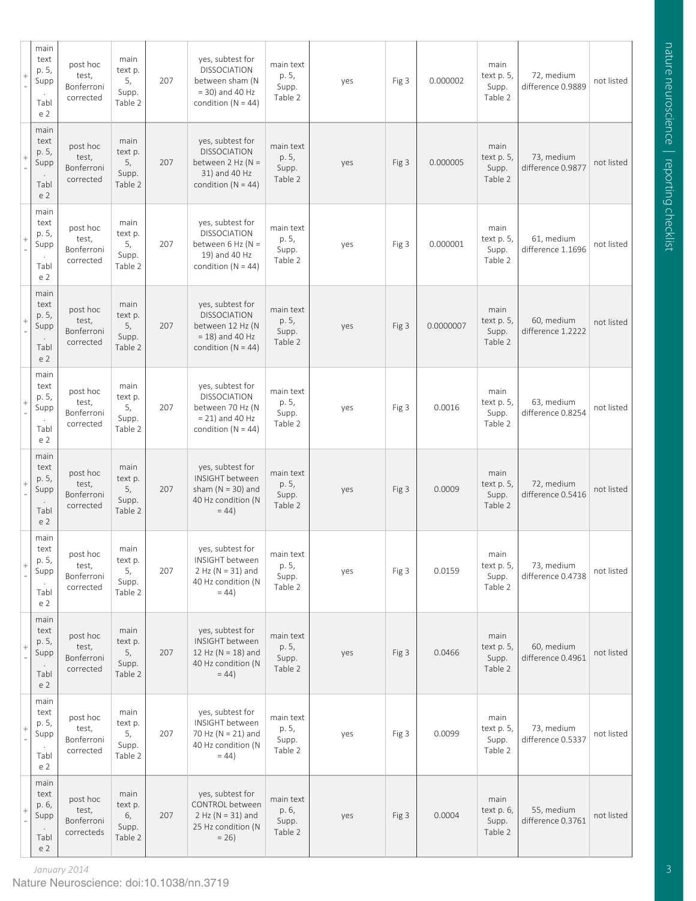| $\ddot{\gamma}$          | main<br>text<br>p. 5,<br>Supp<br>Tabl<br>e <sub>2</sub> | post hoc<br>test,<br>Bonferroni<br>corrected  | main<br>text p.<br>5,<br>Supp.<br>Table 2 | 207 | yes, subtest for<br><b>DISSOCIATION</b><br>between sham (N<br>$=$ 30) and 40 Hz<br>condition ( $N = 44$ )   | main text<br>p. 5,<br>Supp.<br>Table 2 | yes | Fig 3 | 0.000002  | main<br>text p. 5,<br>Supp.<br>Table 2 | 72, medium<br>difference 0.9889 | not listed |
|--------------------------|---------------------------------------------------------|-----------------------------------------------|-------------------------------------------|-----|-------------------------------------------------------------------------------------------------------------|----------------------------------------|-----|-------|-----------|----------------------------------------|---------------------------------|------------|
| $\ddot{\gamma}$          | main<br>text<br>p. 5,<br>Supp<br>Tabl<br>e <sub>2</sub> | post hoc<br>test,<br>Bonferroni<br>corrected  | main<br>text p.<br>5,<br>Supp.<br>Table 2 | 207 | yes, subtest for<br><b>DISSOCIATION</b><br>between $2$ Hz (N =<br>31) and 40 Hz<br>condition ( $N = 44$ )   | main text<br>p. 5,<br>Supp.<br>Table 2 | yes | Fig 3 | 0.000005  | main<br>text p. 5,<br>Supp.<br>Table 2 | 73, medium<br>difference 0.9877 | not listed |
| ÷                        | main<br>text<br>p. 5,<br>Supp<br>Tabl<br>e <sub>2</sub> | post hoc<br>test,<br>Bonferroni<br>corrected  | main<br>text p.<br>5,<br>Supp.<br>Table 2 | 207 | yes, subtest for<br><b>DISSOCIATION</b><br>between 6 Hz ( $N =$<br>19) and 40 Hz<br>condition ( $N = 44$ )  | main text<br>p. 5,<br>Supp.<br>Table 2 | yes | Fig 3 | 0.000001  | main<br>text p. 5,<br>Supp.<br>Table 2 | 61, medium<br>difference 1.1696 | not listed |
| ÷                        | main<br>text<br>p. 5,<br>Supp<br>Tabl<br>e <sub>2</sub> | post hoc<br>test,<br>Bonferroni<br>corrected  | main<br>text p.<br>5,<br>Supp.<br>Table 2 | 207 | yes, subtest for<br><b>DISSOCIATION</b><br>between 12 Hz (N<br>$= 18$ ) and 40 Hz<br>condition ( $N = 44$ ) | main text<br>p. 5,<br>Supp.<br>Table 2 | yes | Fig 3 | 0.0000007 | main<br>text p. 5,<br>Supp.<br>Table 2 | 60, medium<br>difference 1.2222 | not listed |
|                          | main<br>text<br>p. 5,<br>Supp<br>Tabl<br>e <sub>2</sub> | post hoc<br>test,<br>Bonferroni<br>corrected  | main<br>text p.<br>5,<br>Supp.<br>Table 2 | 207 | yes, subtest for<br><b>DISSOCIATION</b><br>between 70 Hz (N<br>$= 21$ ) and 40 Hz<br>condition ( $N = 44$ ) | main text<br>p. 5,<br>Supp.<br>Table 2 | yes | Fig 3 | 0.0016    | main<br>text p. 5,<br>Supp.<br>Table 2 | 63, medium<br>difference 0.8254 | not listed |
| ÷                        | main<br>text<br>p. 5,<br>Supp<br>Tabl<br>e <sub>2</sub> | post hoc<br>test,<br>Bonferroni<br>corrected  | main<br>text p.<br>5,<br>Supp.<br>Table 2 | 207 | yes, subtest for<br><b>INSIGHT</b> between<br>sham ( $N = 30$ ) and<br>40 Hz condition (N<br>$= 44$         | main text<br>p. 5,<br>Supp.<br>Table 2 | yes | Fig 3 | 0.0009    | main<br>text p. 5,<br>Supp.<br>Table 2 | 72, medium<br>difference 0.5416 | not listed |
| $\ddot{\phantom{0}}$     | main<br>text<br>p. 5,<br>Supp<br>Tabl<br>e 2            | post hoc<br>test,<br>Bonferroni<br>corrected  | main<br>text p.<br>5,<br>Supp.<br>Table 2 | 207 | yes, subtest for<br>INSIGHT between<br>$2$ Hz (N = 31) and<br>40 Hz condition (N<br>$= 44$                  | main text<br>p. 5,<br>Supp.<br>Table 2 | yes | Fig 3 | 0.0159    | main<br>text p. 5,<br>Supp.<br>Table 2 | 73, medium<br>difference 0.4738 | not listed |
| $\overline{\phantom{a}}$ | main<br>text<br>p. 5,<br>Supp<br>Tabl<br>e <sub>2</sub> | post hoc<br>test,<br>Bonferroni<br>corrected  | main<br>text p.<br>5,<br>Supp.<br>Table 2 | 207 | yes, subtest for<br>INSIGHT between<br>12 Hz (N = 18) and<br>40 Hz condition (N<br>$= 44$                   | main text<br>p. 5,<br>Supp.<br>Table 2 | yes | Fig 3 | 0.0466    | main<br>text p. 5,<br>Supp.<br>Table 2 | 60, medium<br>difference 0.4961 | not listed |
| $\overline{\phantom{a}}$ | main<br>text<br>p. 5,<br>Supp<br>Tabl<br>e <sub>2</sub> | post hoc<br>test,<br>Bonferroni<br>corrected  | main<br>text p.<br>5,<br>Supp.<br>Table 2 | 207 | yes, subtest for<br>INSIGHT between<br>70 Hz (N = 21) and<br>40 Hz condition (N<br>$= 44$                   | main text<br>p. 5,<br>Supp.<br>Table 2 | yes | Fig 3 | 0.0099    | main<br>text p. 5,<br>Supp.<br>Table 2 | 73, medium<br>difference 0.5337 | not listed |
| ÷                        | main<br>text<br>p. 6,<br>Supp<br>Tabl<br>e <sub>2</sub> | post hoc<br>test,<br>Bonferroni<br>correcteds | main<br>text p.<br>6,<br>Supp.<br>Table 2 | 207 | yes, subtest for<br>CONTROL between<br>$2$ Hz (N = 31) and<br>25 Hz condition (N<br>$= 26$                  | main text<br>p. 6,<br>Supp.<br>Table 2 | yes | Fig 3 | 0.0004    | main<br>text p. 6,<br>Supp.<br>Table 2 | 55, medium<br>difference 0.3761 | not listed |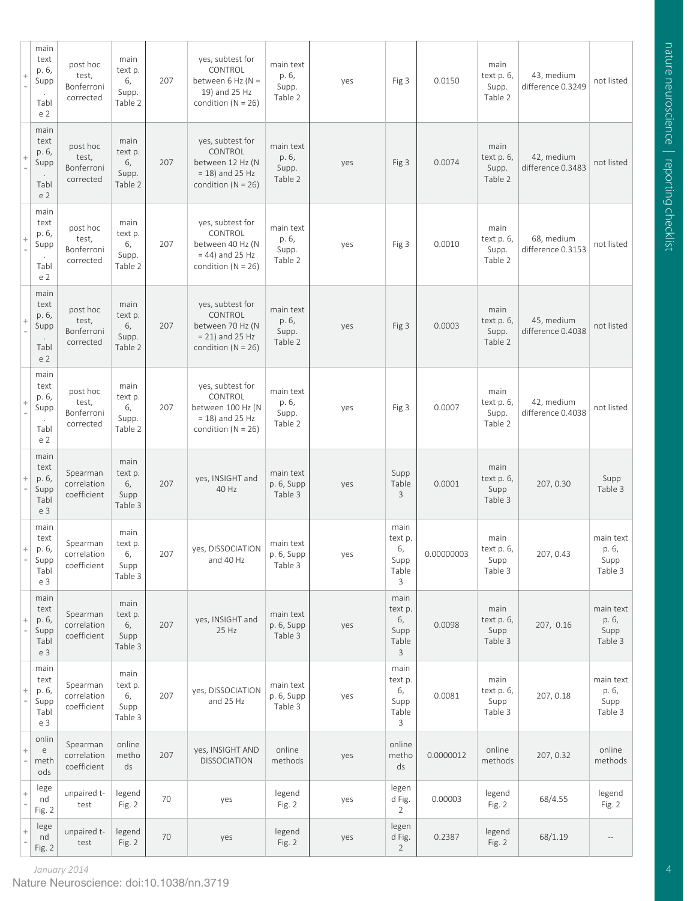| ÷                    | main<br>text<br>p. 6,<br>Supp<br>Tabl<br>e <sub>2</sub>       | post hoc<br>test,<br>Bonferroni<br>corrected | main<br>text p.<br>6,<br>Supp.<br>Table 2 | 207 | yes, subtest for<br>CONTROL<br>between 6 Hz ( $N =$<br>19) and 25 Hz<br>condition ( $N = 26$ )   | main text<br>p. 6,<br>Supp.<br>Table 2 | yes | Fig 3                                       | 0.0150     | main<br>text p. 6,<br>Supp.<br>Table 2 | 43, medium<br>difference 0.3249 | not listed                            |
|----------------------|---------------------------------------------------------------|----------------------------------------------|-------------------------------------------|-----|--------------------------------------------------------------------------------------------------|----------------------------------------|-----|---------------------------------------------|------------|----------------------------------------|---------------------------------|---------------------------------------|
|                      | main<br>text<br>p. 6,<br>Supp<br>Tabl<br>e <sub>2</sub>       | post hoc<br>test,<br>Bonferroni<br>corrected | main<br>text p.<br>6,<br>Supp.<br>Table 2 | 207 | yes, subtest for<br>CONTROL<br>between 12 Hz (N<br>$= 18$ ) and 25 Hz<br>condition ( $N = 26$ )  | main text<br>p. 6,<br>Supp.<br>Table 2 | yes | Fig 3                                       | 0.0074     | main<br>text p. 6,<br>Supp.<br>Table 2 | 42, medium<br>difference 0.3483 | not listed                            |
|                      | main<br>text<br>p. 6,<br>Supp<br>Tabl<br>e <sub>2</sub>       | post hoc<br>test,<br>Bonferroni<br>corrected | main<br>text p.<br>6,<br>Supp.<br>Table 2 | 207 | yes, subtest for<br>CONTROL<br>between 40 Hz (N<br>$= 44$ ) and 25 Hz<br>condition ( $N = 26$ )  | main text<br>p. 6,<br>Supp.<br>Table 2 | yes | Fig 3                                       | 0.0010     | main<br>text p. 6,<br>Supp.<br>Table 2 | 68, medium<br>difference 0.3153 | not listed                            |
|                      | main<br>text<br>p. 6,<br>Supp<br>Tabl<br>e <sub>2</sub>       | post hoc<br>test,<br>Bonferroni<br>corrected | main<br>text p.<br>6,<br>Supp.<br>Table 2 | 207 | yes, subtest for<br>CONTROL<br>between 70 Hz (N<br>$= 21$ ) and 25 Hz<br>condition ( $N = 26$ )  | main text<br>p. 6,<br>Supp.<br>Table 2 | yes | Fig 3                                       | 0.0003     | main<br>text p. 6,<br>Supp.<br>Table 2 | 45, medium<br>difference 0.4038 | not listed                            |
|                      | main<br>text<br>p. 6,<br>Supp<br>Tabl<br>e <sub>2</sub>       | post hoc<br>test,<br>Bonferroni<br>corrected | main<br>text p.<br>6,<br>Supp.<br>Table 2 | 207 | yes, subtest for<br>CONTROL<br>between 100 Hz (N<br>$= 18$ ) and 25 Hz<br>condition ( $N = 26$ ) | main text<br>p. 6,<br>Supp.<br>Table 2 | yes | Fig 3                                       | 0.0007     | main<br>text p. 6,<br>Supp.<br>Table 2 | 42, medium<br>difference 0.4038 | not listed                            |
| $\ddot{\phantom{0}}$ | main<br>text<br>p. 6,<br>Supp<br>Tabl<br>e 3                  | Spearman<br>correlation<br>coefficient       | main<br>text p.<br>6,<br>Supp<br>Table 3  | 207 | yes, INSIGHT and<br>40 Hz                                                                        | main text<br>p. 6, Supp<br>Table 3     | yes | Supp<br>Table<br>3                          | 0.0001     | main<br>text p. 6,<br>Supp<br>Table 3  | 207, 0.30                       | Supp<br>Table 3                       |
|                      | main<br>text<br>p. 6,<br>Supp<br>Tabl<br>e 3                  | Spearman<br>correlation<br>coefficient       | main<br>text p.<br>6,<br>Supp<br>Table 3  | 207 | yes, DISSOCIATION<br>and 40 Hz                                                                   | main text<br>p. 6, Supp<br>Table 3     | yes | main<br>text p.<br>6,<br>Supp<br>Table<br>3 | 0.00000003 | main<br>text p. 6,<br>Supp<br>Table 3  | 207, 0.43                       | main text<br>p. 6,<br>Supp<br>Table 3 |
| ÷                    | main<br>text<br>p. 6,<br>Supp<br>Tabl<br>e 3                  | Spearman<br>correlation<br>coefficient       | main<br>text p.<br>6,<br>Supp<br>Table 3  | 207 | yes, INSIGHT and<br>25 Hz                                                                        | main text<br>p. 6, Supp<br>Table 3     | yes | main<br>text p.<br>6,<br>Supp<br>Table<br>3 | 0.0098     | main<br>text p. 6,<br>Supp<br>Table 3  | 207, 0.16                       | main text<br>p. 6,<br>Supp<br>Table 3 |
| ÷                    | main<br>text<br>p. 6,<br>Supp<br>Tabl<br>e 3                  | Spearman<br>correlation<br>coefficient       | main<br>text p.<br>6,<br>Supp<br>Table 3  | 207 | yes, DISSOCIATION<br>and 25 Hz                                                                   | main text<br>p. 6, Supp<br>Table 3     | yes | main<br>text p.<br>6,<br>Supp<br>Table<br>3 | 0.0081     | main<br>text p. 6,<br>Supp<br>Table 3  | 207, 0.18                       | main text<br>p. 6,<br>Supp<br>Table 3 |
| $\!+\!$              | onlin<br>$\mathsf{e}% _{t}\left( t_{0}\right)$<br>meth<br>ods | Spearman<br>correlation<br>coefficient       | online<br>metho<br>ds                     | 207 | yes, INSIGHT AND<br><b>DISSOCIATION</b>                                                          | online<br>methods                      | yes | online<br>metho<br>ds                       | 0.0000012  | online<br>methods                      | 207, 0.32                       | online<br>methods                     |
| $\div$               | lege<br>nd<br>Fig. 2                                          | unpaired t-<br>test                          | legend<br>Fig. 2                          | 70  | yes                                                                                              | legend<br>Fig. 2                       | yes | legen<br>d Fig.<br>$\overline{2}$           | 0.00003    | legend<br>Fig. 2                       | 68/4.55                         | legend<br>Fig. 2                      |
| $\!+$                | lege<br>nd<br>Fig. 2                                          | unpaired t-<br>test                          | legend<br>Fig. 2                          | 70  | yes                                                                                              | legend<br>Fig. 2                       | yes | legen<br>d Fig.<br>$\overline{2}$           | 0.2387     | legend<br>Fig. 2                       | 68/1.19                         |                                       |

*January 2014* Nature Neuroscience: doi:10.1038/nn.3719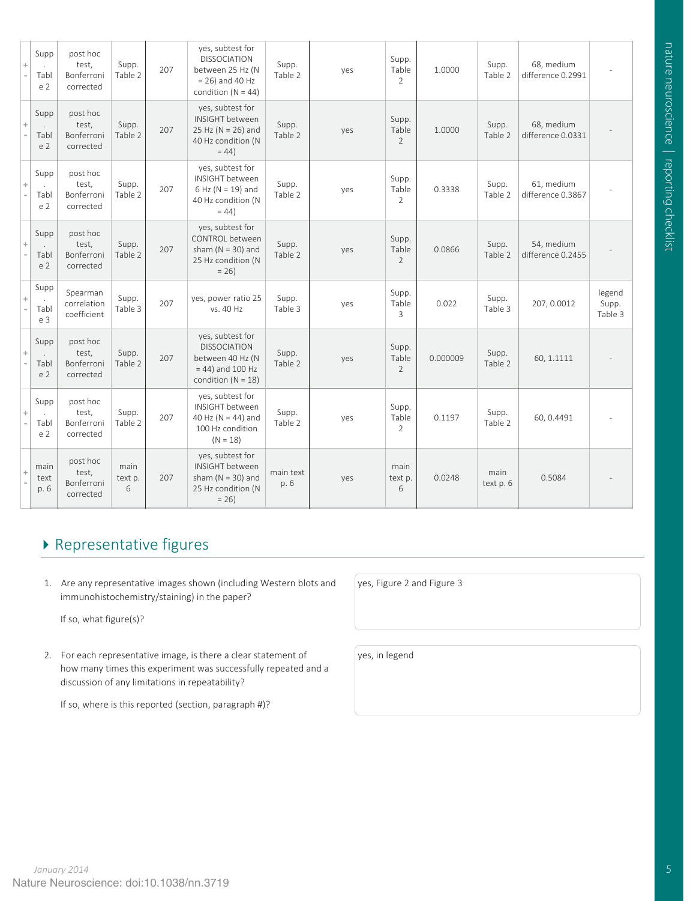| Supp<br>Tabl<br>e <sub>2</sub> | post hoc<br>test,<br>Bonferroni<br>corrected | Supp.<br>Table 2     | 207 | yes, subtest for<br><b>DISSOCIATION</b><br>between 25 Hz (N<br>$= 26$ ) and 40 Hz<br>condition ( $N = 44$ )  | Supp.<br>Table 2  | yes | Supp.<br>Table<br>2              | 1.0000   | Supp.<br>Table 2  | 68, medium<br>difference 0.2991 |                            |
|--------------------------------|----------------------------------------------|----------------------|-----|--------------------------------------------------------------------------------------------------------------|-------------------|-----|----------------------------------|----------|-------------------|---------------------------------|----------------------------|
| Supp<br>Tabl<br>e <sub>2</sub> | post hoc<br>test,<br>Bonferroni<br>corrected | Supp.<br>Table 2     | 207 | yes, subtest for<br>INSIGHT between<br>25 Hz ( $N = 26$ ) and<br>40 Hz condition (N<br>$= 44$                | Supp.<br>Table 2  | yes | Supp.<br>Table<br>2              | 1.0000   | Supp.<br>Table 2  | 68, medium<br>difference 0.0331 |                            |
| Supp<br>Tabl<br>e <sub>2</sub> | post hoc<br>test,<br>Bonferroni<br>corrected | Supp.<br>Table 2     | 207 | yes, subtest for<br>INSIGHT between<br>$6$ Hz (N = 19) and<br>40 Hz condition (N<br>$= 44$                   | Supp.<br>Table 2  | yes | Supp.<br>Table<br>$\overline{2}$ | 0.3338   | Supp.<br>Table 2  | 61, medium<br>difference 0.3867 |                            |
| Supp<br>Tabl<br>e 2            | post hoc<br>test,<br>Bonferroni<br>corrected | Supp.<br>Table 2     | 207 | yes, subtest for<br>CONTROL between<br>sham ( $N = 30$ ) and<br>25 Hz condition (N<br>$= 26$                 | Supp.<br>Table 2  | yes | Supp.<br>Table<br>2              | 0.0866   | Supp.<br>Table 2  | 54, medium<br>difference 0.2455 |                            |
| Supp<br>Tabl<br>e 3            | Spearman<br>correlation<br>coefficient       | Supp.<br>Table 3     | 207 | yes, power ratio 25<br>vs. 40 Hz                                                                             | Supp.<br>Table 3  | yes | Supp.<br>Table<br>3              | 0.022    | Supp.<br>Table 3  | 207, 0.0012                     | legend<br>Supp.<br>Table 3 |
| Supp<br>Tabl<br>e 2            | post hoc<br>test,<br>Bonferroni<br>corrected | Supp.<br>Table 2     | 207 | yes, subtest for<br><b>DISSOCIATION</b><br>between 40 Hz (N<br>$= 44$ ) and 100 Hz<br>condition ( $N = 18$ ) | Supp.<br>Table 2  | yes | Supp.<br>Table<br>$\overline{2}$ | 0.000009 | Supp.<br>Table 2  | 60, 1.1111                      |                            |
| Supp<br>Tabl<br>e <sub>2</sub> | post hoc<br>test,<br>Bonferroni<br>corrected | Supp.<br>Table 2     | 207 | yes, subtest for<br>INSIGHT between<br>40 Hz ( $N = 44$ ) and<br>100 Hz condition<br>$(N = 18)$              | Supp.<br>Table 2  | yes | Supp.<br>Table<br>2              | 0.1197   | Supp.<br>Table 2  | 60, 0.4491                      |                            |
| main<br>text<br>p. 6           | post hoc<br>test,<br>Bonferroni<br>corrected | main<br>text p.<br>6 | 207 | yes, subtest for<br>INSIGHT between<br>sham ( $N = 30$ ) and<br>25 Hz condition (N<br>$= 26$                 | main text<br>p. 6 | yes | main<br>text p.<br>6             | 0.0248   | main<br>text p. 6 | 0.5084                          |                            |
|                                |                                              |                      |     |                                                                                                              |                   |     |                                  |          |                   |                                 |                            |

## Representative figures

1. Are any representative images shown (including Western blots and immunohistochemistry/staining) in the paper?

If so, what figure(s)?

2. For each representative image, is there a clear statement of how many times this experiment was successfully repeated and a discussion of any limitations in repeatability?

If so, where is this reported (section, paragraph #)?

yes, Figure 2 and Figure 3

yes, in legend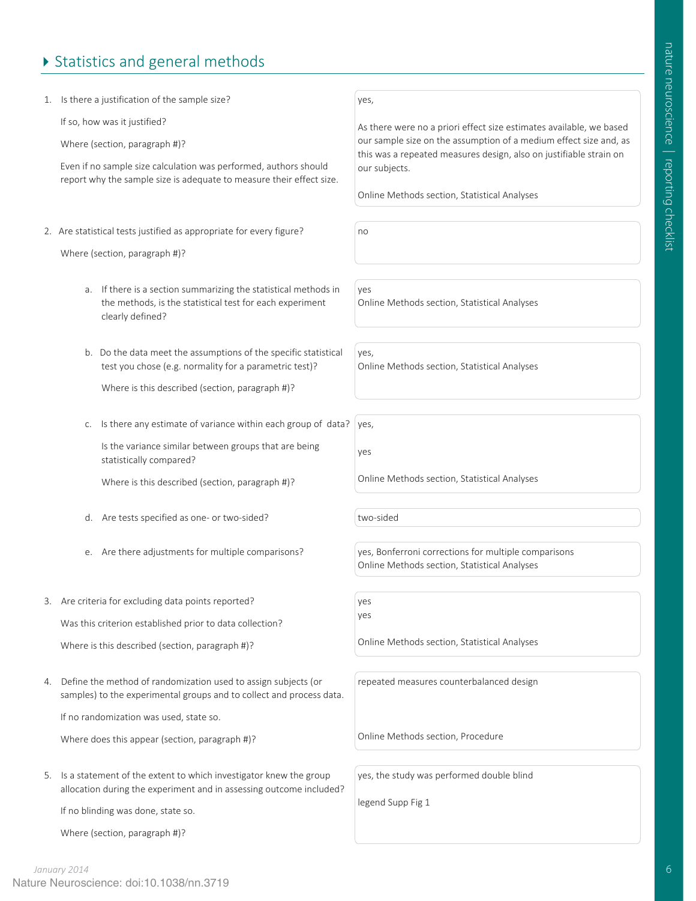## ▶ Statistics and general methods

1. Is there a justification of the sample size?

If so, how was it justified?

Where (section, paragraph #)?

 Even if no sample size calculation was performed, authors should report why the sample size is adequate to measure their effect size.

2. Are statistical tests justified as appropriate for every figure?

Where (section, paragraph #)?

- a. If there is a section summarizing the statistical methods in the methods, is the statistical test for each experiment clearly defined?
- b. Do the data meet the assumptions of the specific statistical test you chose (e.g. normality for a parametric test)?

Where is this described (section, paragraph #)?

c. Is there any estimate of variance within each group of data?

Is the variance similar between groups that are being statistically compared?

Where is this described (section, paragraph #)?

- d. Are tests specified as one- or two-sided? two-sided
- e. Are there adjustments for multiple comparisons? yes, Bonferroni corrections for multiple comparisons
- 3. Are criteria for excluding data points reported? Was this criterion established prior to data collection? Where is this described (section, paragraph #)?
- 4. Define the method of randomization used to assign subjects (or samples) to the experimental groups and to collect and process data.

If no randomization was used, state so.

Where does this appear (section, paragraph #)?

5. Is a statement of the extent to which investigator knew the group allocation during the experiment and in assessing outcome included?

If no blinding was done, state so.

Where (section, paragraph #)?

yes,

As there were no a priori effect size estimates available, we based our sample size on the assumption of a medium effect size and, as this was a repeated measures design, also on justifiable strain on our subjects.

Online Methods section, Statistical Analyses

no

yes Online Methods section, Statistical Analyses

yes, Online Methods section, Statistical Analyses

yes, yes

Online Methods section, Statistical Analyses

Online Methods section, Statistical Analyses

yes yes

Online Methods section, Statistical Analyses

repeated measures counterbalanced design

Online Methods section, Procedure

yes, the study was performed double blind

legend Supp Fig 1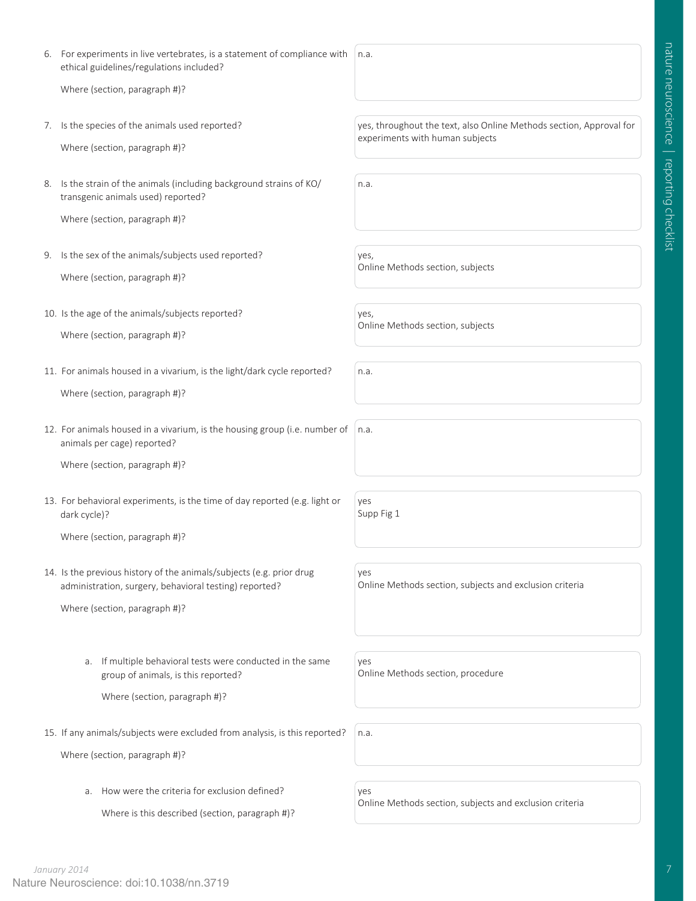6. For experiments in live vertebrates, is a statement of compliance with ethical guidelines/regulations included? n.a.

Where (section, paragraph #)?

7. Is the species of the animals used reported?

Where (section, paragraph #)?

8. Is the strain of the animals (including background strains of KO/ transgenic animals used) reported?

Where (section, paragraph #)?

- 9. Is the sex of the animals/subjects used reported? Where (section, paragraph #)?
- 10. Is the age of the animals/subjects reported?
	- Where (section, paragraph #)?
- 11. For animals housed in a vivarium, is the light/dark cycle reported? Where (section, paragraph #)?
- 12. For animals housed in a vivarium, is the housing group (i.e. number of animals per cage) reported?

Where (section, paragraph #)?

13. For behavioral experiments, is the time of day reported (e.g. light or dark cycle)?

Where (section, paragraph #)?

14. Is the previous history of the animals/subjects (e.g. prior drug administration, surgery, behavioral testing) reported?

Where (section, paragraph #)?

a. If multiple behavioral tests were conducted in the same group of animals, is this reported?

Where (section, paragraph #)?

15. If any animals/subjects were excluded from analysis, is this reported?

Where (section, paragraph #)?

a. How were the criteria for exclusion defined?

Where is this described (section, paragraph #)?

yes, throughout the text, also Online Methods section, Approval for experiments with human subjects

n.a.

yes,

Online Methods section, subjects

yes, Online Methods section, subjects

n.a.

n.a.

yes Supp Fig 1

yes

Online Methods section, subjects and exclusion criteria

yes Online Methods section, procedure

n.a.

yes Online Methods section, subjects and exclusion criteria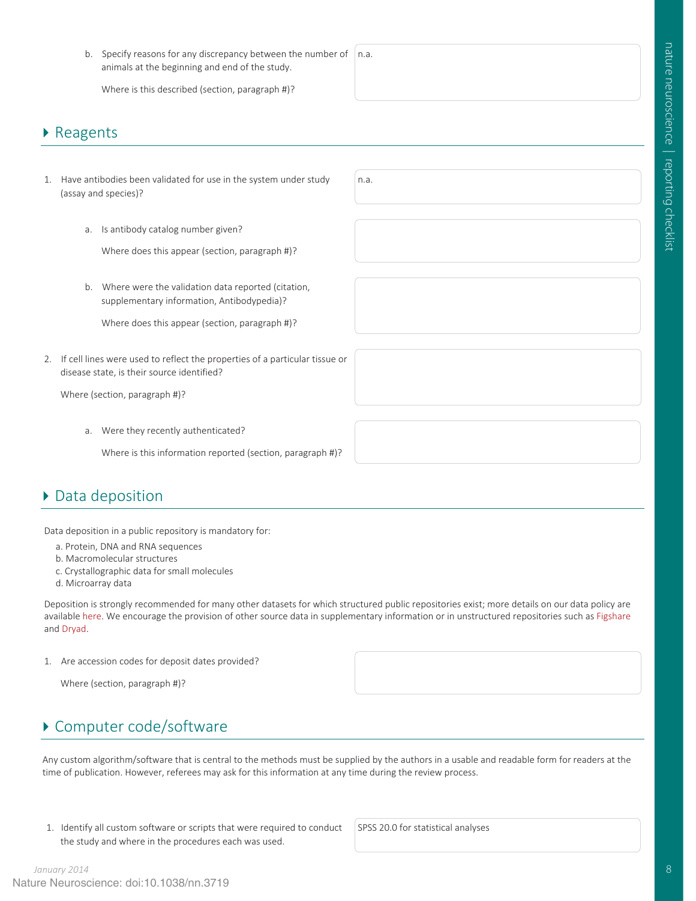b. Specify reasons for any discrepancy between the number of animals at the beginning and end of the study. n.a.

Where is this described (section, paragraph #)?

### ▶ Reagents

- 1. Have antibodies been validated for use in the system under study (assay and species)?
	- a. Is antibody catalog number given?

Where does this appear (section, paragraph #)?

b. Where were the validation data reported (citation, supplementary information, Antibodypedia)?

Where does this appear (section, paragraph #)?

2. If cell lines were used to reflect the properties of a particular tissue or disease state, is their source identified?

Where (section, paragraph #)?

a. Were they recently authenticated?

Where is this information reported (section, paragraph #)?

### Data deposition

Data deposition in a public repository is mandatory for:

- a. Protein, DNA and RNA sequences
- b. Macromolecular structures
- c. Crystallographic data for small molecules
- d. Microarray data

Deposition is strongly recommended for many other datasets for which structured public repositories exist; more details on our data policy are available here. We encourage the provision of other source data in supplementary information or in unstructured repositories such as Figshare and Dryad.

n.a.

1. Are accession codes for deposit dates provided?

Where (section, paragraph #)?

## ▶ Computer code/software

Any custom algorithm/software that is central to the methods must be supplied by the authors in a usable and readable form for readers at the time of publication. However, referees may ask for this information at any time during the review process.

 1. Identify all custom software or scripts that were required to conduct the study and where in the procedures each was used.

SPSS 20.0 for statistical analyses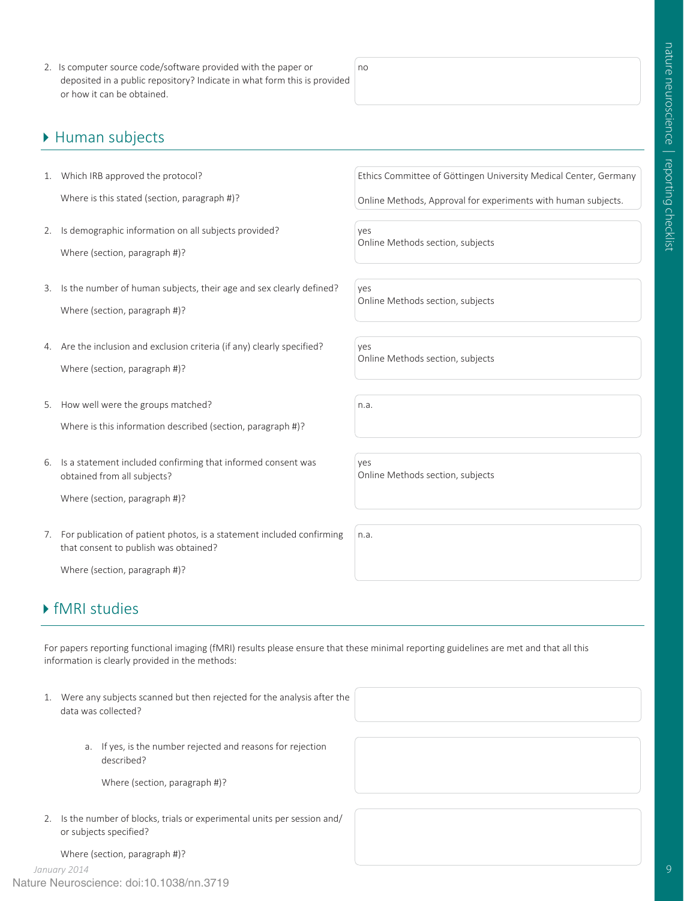2. Is computer source code/software provided with the paper or deposited in a public repository? Indicate in what form this is provided or how it can be obtained.

#### ▶ Human subjects

- 1. Which IRB approved the protocol? Where is this stated (section, paragraph #)?
- 2. Is demographic information on all subjects provided? Where (section, paragraph #)?
- 3. Is the number of human subjects, their age and sex clearly defined? Where (section, paragraph #)?
- 4. Are the inclusion and exclusion criteria (if any) clearly specified? Where (section, paragraph #)?
- 5. How well were the groups matched?

Where is this information described (section, paragraph #)?

- 6. Is a statement included confirming that informed consent was obtained from all subjects?
	- Where (section, paragraph #)?
- 7. For publication of patient photos, is a statement included confirming that consent to publish was obtained?

Where (section, paragraph #)?

### fMRI studies

For papers reporting functional imaging (fMRI) results please ensure that these minimal reporting guidelines are met and that all this information is clearly provided in the methods:

- 1. Were any subjects scanned but then rejected for the analysis after the data was collected?
	- a. If yes, is the number rejected and reasons for rejection described?

Where (section, paragraph #)?

2. Is the number of blocks, trials or experimental units per session and/ or subjects specified?

Where (section, paragraph #)?

Ethics Committee of Göttingen University Medical Center, Germany

Online Methods, Approval for experiments with human subjects.

yes Online Methods section, subjects

yes Online Methods section, subjects

yes Online Methods section, subjects

n.a.

no

yes Online Methods section, subjects

n.a.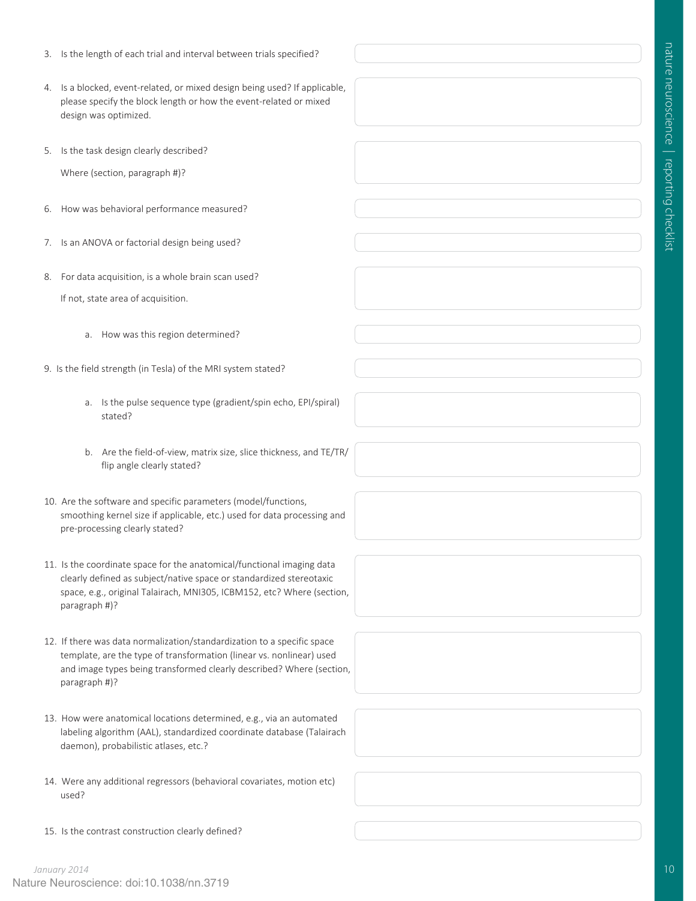- 3. Is the length of each trial and interval between trials specified?
- 4. Is a blocked, event-related, or mixed design being used? If applicable, please specify the block length or how the event-related or mixed design was optimized.
- 5. Is the task design clearly described?

Where (section, paragraph #)?

- 6. How was behavioral performance measured?
- 7. Is an ANOVA or factorial design being used?
- 8. For data acquisition, is a whole brain scan used? If not, state area of acquisition.
	- a. How was this region determined?
- 9. Is the field strength (in Tesla) of the MRI system stated?
	- a. Is the pulse sequence type (gradient/spin echo, EPI/spiral) stated?
	- b. Are the field-of-view, matrix size, slice thickness, and TE/TR/ flip angle clearly stated?
- 10. Are the software and specific parameters (model/functions, smoothing kernel size if applicable, etc.) used for data processing and pre-processing clearly stated?
- 11. Is the coordinate space for the anatomical/functional imaging data clearly defined as subject/native space or standardized stereotaxic space, e.g., original Talairach, MNI305, ICBM152, etc? Where (section, paragraph #)?
- 12. If there was data normalization/standardization to a specific space template, are the type of transformation (linear vs. nonlinear) used and image types being transformed clearly described? Where (section, paragraph #)?
- 13. How were anatomical locations determined, e.g., via an automated labeling algorithm (AAL), standardized coordinate database (Talairach daemon), probabilistic atlases, etc.?
- 14. Were any additional regressors (behavioral covariates, motion etc) used?
- 15. Is the contrast construction clearly defined?